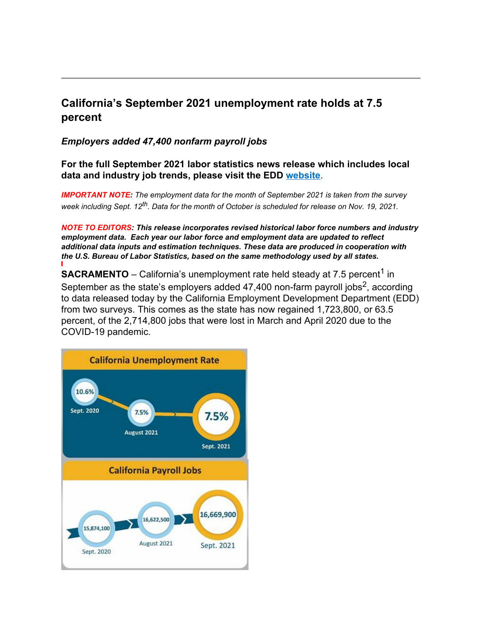## **California's September 2021 unemployment rate holds at 7.5 percent**

*Employers added 47,400 nonfarm payroll jobs*

**For the full September 2021 labor statistics news release which includes local data and industry job trends, please visit the EDD [website](https://www.edd.ca.gov/Newsroom/unemployment-september-2021.htm)**.

*IMPORTANT NOTE: The employment data for the month of September 2021 is taken from the survey week including Sept. 12th. Data for the month of October is scheduled for release on Nov. 19, 2021.*

*NOTE TO EDITORS: This release incorporates revised historical labor force numbers and industry employment data. Each year our labor force and employment data are updated to reflect additional data inputs and estimation techniques. These data are produced in cooperation with the U.S. Bureau of Labor Statistics, based on the same methodology used by all states.*

**SACRAMENTO** – California's unemployment rate held steady at 7.5 percent<sup>1</sup> in September as the state's employers added  $47,400$  non-farm payroll jobs<sup>2</sup>, according to data released today by the California Employment Development Department (EDD) from two surveys. This comes as the state has now regained 1,723,800, or 63.5 percent, of the 2,714,800 jobs that were lost in March and April 2020 due to the COVID-19 pandemic.